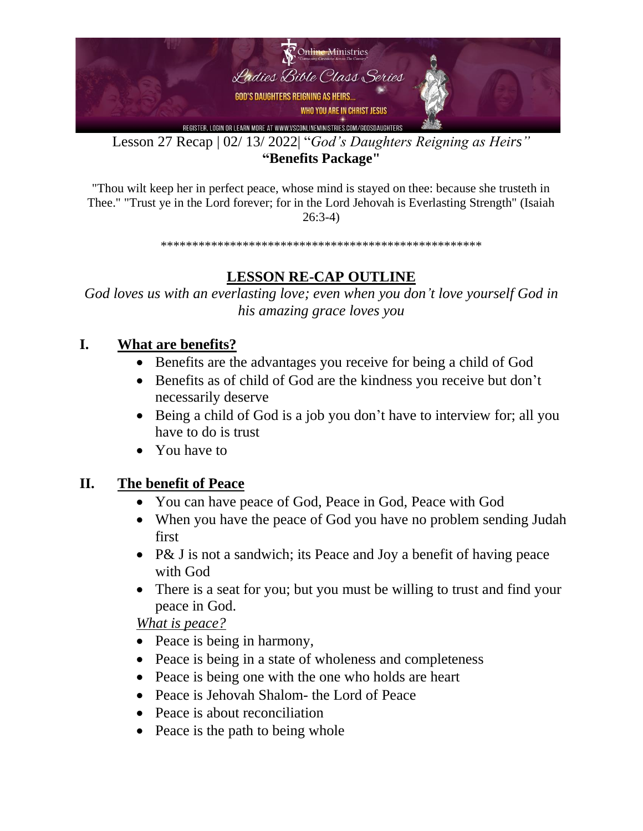

Lesson 27 Recap | 02/ 13/ 2022| "*God's Daughters Reigning as Heirs"* **"Benefits Package"**

"Thou wilt keep her in perfect peace, whose mind is stayed on thee: because she trusteth in Thee." "Trust ye in the Lord forever; for in the Lord Jehovah is Everlasting Strength" (Isaiah 26:3-4)

\*\*\*\*\*\*\*\*\*\*\*\*\*\*\*\*\*\*\*\*\*\*\*\*\*\*\*\*\*\*\*\*\*\*\*\*\*\*\*\*\*\*\*\*\*\*\*\*\*\*\*

### **LESSON RE-CAP OUTLINE**

*God loves us with an everlasting love; even when you don't love yourself God in his amazing grace loves you*

#### **I. What are benefits?**

- Benefits are the advantages you receive for being a child of God
- Benefits as of child of God are the kindness you receive but don't necessarily deserve
- Being a child of God is a job you don't have to interview for; all you have to do is trust
- You have to

#### **II. The benefit of Peace**

- You can have peace of God, Peace in God, Peace with God
- When you have the peace of God you have no problem sending Judah first
- P& J is not a sandwich; its Peace and Joy a benefit of having peace with God
- There is a seat for you; but you must be willing to trust and find your peace in God.

*What is peace?*

- Peace is being in harmony,
- Peace is being in a state of wholeness and completeness
- Peace is being one with the one who holds are heart
- Peace is Jehovah Shalom- the Lord of Peace
- Peace is about reconciliation
- Peace is the path to being whole